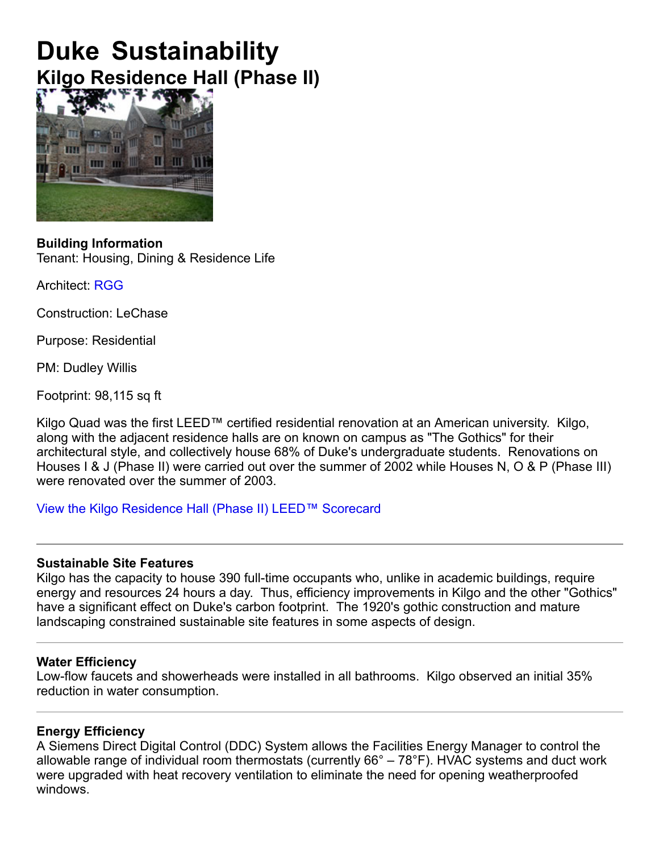# **Duke Sustainability Kilgo Residence Hall (Phase II)**



#### **Building Information** Tenant: Housing, Dining & Residence Life

Architect: RGG

Construction: LeChase

Purpose: Residential

PM: Dudley Willis

Footprint: 98,115 sq ft

Kilgo Quad was the first LEED™ certified residential renovation at an American university. Kilgo, along with the adjacent residence halls are on known on campus as "The Gothics" for their architectural style, and collectively house 68% of Duke's undergraduate students. Renovations on Houses I & J (Phase II) were carried out over the summer of 2002 while Houses N, O & P (Phase III) were renovated over the summer of 2003.

View the Kilgo Residence Hall (Phase II) LEED™ Scorecard

## **Sustainable Site Features**

Kilgo has the capacity to house 390 full-time occupants who, unlike in academic buildings, require energy and resources 24 hours a day. Thus, efficiency improvements in Kilgo and the other "Gothics" have a significant effect on Duke's carbon footprint. The 1920's gothic construction and mature landscaping constrained sustainable site features in some aspects of design.

## **Water Efficiency**

Low-flow faucets and showerheads were installed in all bathrooms. Kilgo observed an initial 35% reduction in water consumption.

## **Energy Efficiency**

A Siemens Direct Digital Control (DDC) System allows the Facilities Energy Manager to control the allowable range of individual room thermostats (currently 66° – 78°F). HVAC systems and duct work were upgraded with heat recovery ventilation to eliminate the need for opening weatherproofed windows.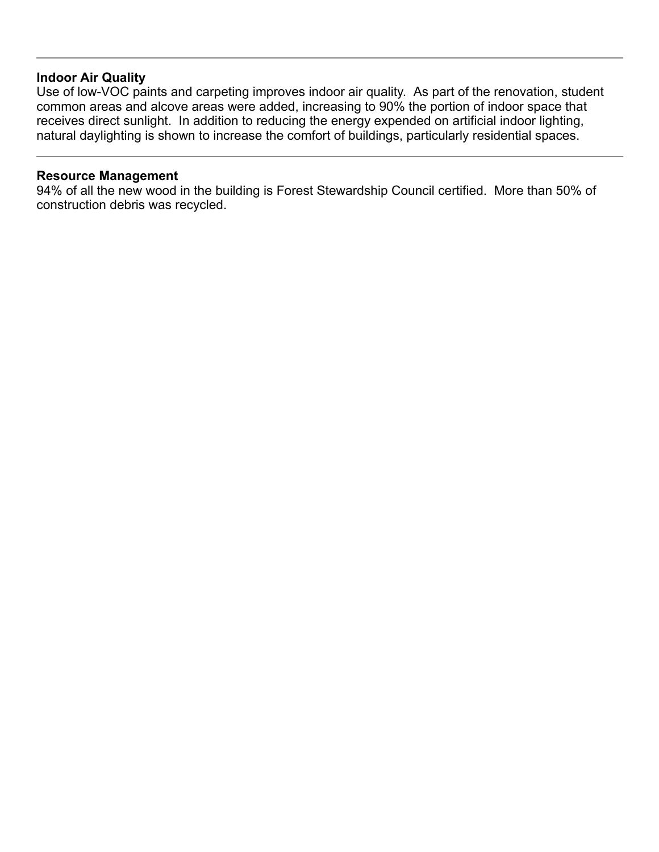#### **Indoor Air Quality**

Use of low-VOC paints and carpeting improves indoor air quality. As part of the renovation, student common areas and alcove areas were added, increasing to 90% the portion of indoor space that receives direct sunlight. In addition to reducing the energy expended on artificial indoor lighting, natural daylighting is shown to increase the comfort of buildings, particularly residential spaces.

#### **Resource Management**

94% of all the new wood in the building is Forest Stewardship Council certified. More than 50% of construction debris was recycled.